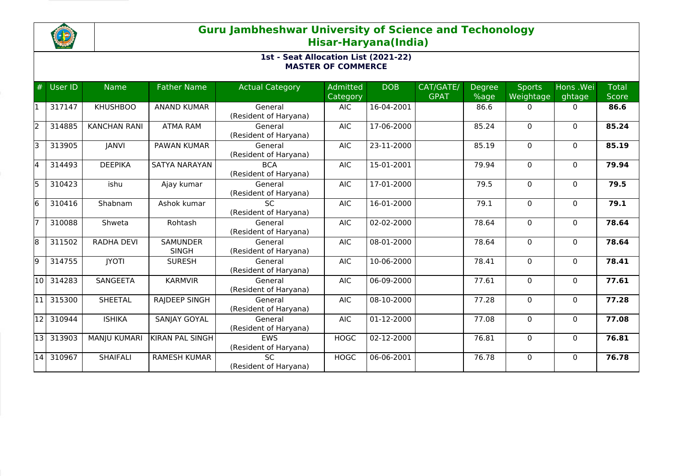

| #     | User ID | <b>Name</b>         | <b>Father Name</b>              | <b>Actual Category</b>              | <b>Admitted</b><br>Category | <b>DOB</b> | CAT/GATE/<br><b>GPAT</b> | <b>Degree</b><br>%age | <b>Sports</b><br>Weightage | Hons .Wei<br>ghtage | <b>Total</b><br><b>Score</b> |
|-------|---------|---------------------|---------------------------------|-------------------------------------|-----------------------------|------------|--------------------------|-----------------------|----------------------------|---------------------|------------------------------|
|       | 317147  | <b>KHUSHBOO</b>     | <b>ANAND KUMAR</b>              | General<br>(Resident of Haryana)    | <b>AIC</b>                  | 16-04-2001 |                          | 86.6                  | 0                          | $\Omega$            | 86.6                         |
| l2    | 314885  | <b>KANCHAN RANI</b> | <b>ATMA RAM</b>                 | General<br>(Resident of Haryana)    | <b>AIC</b>                  | 17-06-2000 |                          | 85.24                 | $\Omega$                   | $\Omega$            | 85.24                        |
| I٦    | 313905  | <b>JANVI</b>        | PAWAN KUMAR                     | General<br>(Resident of Haryana)    | <b>AIC</b>                  | 23-11-2000 |                          | 85.19                 | $\Omega$                   | $\mathbf{0}$        | 85.19                        |
| 14    | 314493  | <b>DEEPIKA</b>      | <b>SATYA NARAYAN</b>            | <b>BCA</b><br>(Resident of Haryana) | <b>AIC</b>                  | 15-01-2001 |                          | 79.94                 | $\Omega$                   | $\mathbf{0}$        | 79.94                        |
| l5    | 310423  | ishu                | Ajay kumar                      | General<br>(Resident of Haryana)    | <b>AIC</b>                  | 17-01-2000 |                          | 79.5                  | $\Omega$                   | $\Omega$            | 79.5                         |
| l6    | 310416  | Shabnam             | Ashok kumar                     | <b>SC</b><br>(Resident of Haryana)  | <b>AIC</b>                  | 16-01-2000 |                          | 79.1                  | 0                          | 0                   | 79.1                         |
|       | 310088  | Shweta              | Rohtash                         | General<br>(Resident of Haryana)    | <b>AIC</b>                  | 02-02-2000 |                          | 78.64                 | $\Omega$                   | $\mathbf{0}$        | 78.64                        |
| 18    | 311502  | <b>RADHA DEVI</b>   | <b>SAMUNDER</b><br><b>SINGH</b> | General<br>(Resident of Haryana)    | <b>AIC</b>                  | 08-01-2000 |                          | 78.64                 | 0                          | $\mathbf{0}$        | 78.64                        |
| l9    | 314755  | <b>IYOTI</b>        | <b>SURESH</b>                   | General<br>(Resident of Haryana)    | <b>AIC</b>                  | 10-06-2000 |                          | 78.41                 | $\Omega$                   | $\mathbf{0}$        | 78.41                        |
| 10    | 314283  | <b>SANGEETA</b>     | <b>KARMVIR</b>                  | General<br>(Resident of Haryana)    | <b>AIC</b>                  | 06-09-2000 |                          | 77.61                 | 0                          | $\mathbf{0}$        | 77.61                        |
| 11    | 315300  | <b>SHEETAL</b>      | <b>RAJDEEP SINGH</b>            | General<br>(Resident of Haryana)    | <b>AIC</b>                  | 08-10-2000 |                          | 77.28                 | $\Omega$                   | $\mathbf{0}$        | 77.28                        |
| 12    | 310944  | <b>ISHIKA</b>       | SANJAY GOYAL                    | General<br>(Resident of Haryana)    | <b>AIC</b>                  | 01-12-2000 |                          | 77.08                 | 0                          | $\mathbf{0}$        | 77.08                        |
| l13 l | 313903  | MANJU KUMARI        | <b>KIRAN PAL SINGH</b>          | <b>EWS</b><br>(Resident of Haryana) | <b>HOGC</b>                 | 02-12-2000 |                          | 76.81                 | 0                          | $\mathbf 0$         | 76.81                        |
| 14    | 310967  | <b>SHAIFALI</b>     | <b>RAMESH KUMAR</b>             | <b>SC</b><br>(Resident of Haryana)  | <b>HOGC</b>                 | 06-06-2001 |                          | 76.78                 | $\Omega$                   | $\Omega$            | 76.78                        |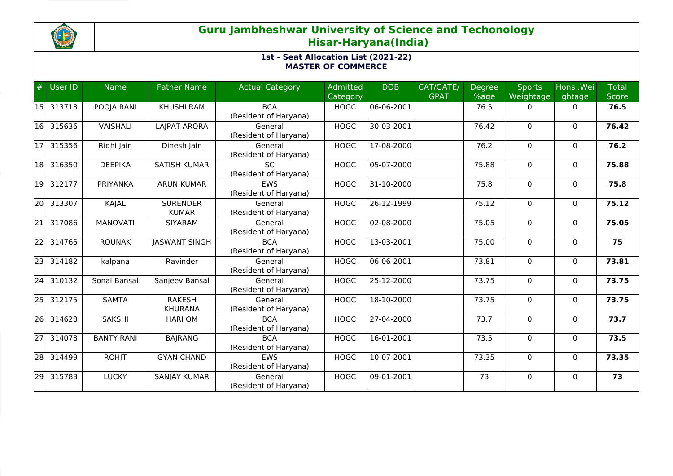

| #               | <b>User ID</b> | <b>Name</b>       | <b>Father Name</b>              | <b>Actual Category</b>              | Admitted<br>Category | <b>DOB</b> | CAT/GATE/<br><b>GPAT</b> | Degree<br>%age | <b>Sports</b><br>Weightage | Hons .Wei<br>ghtage | <b>Total</b><br><b>Score</b> |
|-----------------|----------------|-------------------|---------------------------------|-------------------------------------|----------------------|------------|--------------------------|----------------|----------------------------|---------------------|------------------------------|
| 15              | 313718         | POOJA RANI        | <b>KHUSHI RAM</b>               | <b>BCA</b><br>(Resident of Haryana) | <b>HOGC</b>          | 06-06-2001 |                          | 76.5           | 0                          | $\Omega$            | 76.5                         |
| 16              | 315636         | <b>VAISHALI</b>   | LAJPAT ARORA                    | General<br>(Resident of Haryana)    | <b>HOGC</b>          | 30-03-2001 |                          | 76.42          | $\Omega$                   | $\mathbf{0}$        | 76.42                        |
| $\overline{17}$ | 315356         | Ridhi Jain        | Dinesh Jain                     | General<br>(Resident of Haryana)    | <b>HOGC</b>          | 17-08-2000 |                          | 76.2           | $\Omega$                   | $\mathbf{0}$        | 76.2                         |
| 18              | 316350         | <b>DEEPIKA</b>    | <b>SATISH KUMAR</b>             | <b>SC</b><br>(Resident of Haryana)  | <b>HOGC</b>          | 05-07-2000 |                          | 75.88          | 0                          | 0                   | 75.88                        |
| 19              | 312177         | PRIYANKA          | <b>ARUN KUMAR</b>               | <b>EWS</b><br>(Resident of Haryana) | <b>HOGC</b>          | 31-10-2000 |                          | 75.8           | $\mathbf 0$                | $\mathbf 0$         | 75.8                         |
| 20              | 313307         | KAJAL             | <b>SURENDER</b><br><b>KUMAR</b> | General<br>(Resident of Haryana)    | <b>HOGC</b>          | 26-12-1999 |                          | 75.12          | 0                          | 0                   | 75.12                        |
| $\overline{21}$ | 317086         | <b>MANOVATI</b>   | <b>SIYARAM</b>                  | General<br>(Resident of Haryana)    | <b>HOGC</b>          | 02-08-2000 |                          | 75.05          | $\mathbf 0$                | $\mathbf{0}$        | 75.05                        |
| $\overline{22}$ | 314765         | <b>ROUNAK</b>     | <b>JASWANT SINGH</b>            | <b>BCA</b><br>(Resident of Haryana) | <b>HOGC</b>          | 13-03-2001 |                          | 75.00          | $\mathbf 0$                | $\Omega$            | 75                           |
| $\overline{23}$ | 314182         | kalpana           | Ravinder                        | General<br>(Resident of Haryana)    | <b>HOGC</b>          | 06-06-2001 |                          | 73.81          | $\mathbf 0$                | $\mathbf{0}$        | 73.81                        |
| $\overline{24}$ | 310132         | Sonal Bansal      | Sanjeev Bansal                  | General<br>(Resident of Haryana)    | <b>HOGC</b>          | 25-12-2000 |                          | 73.75          | 0                          | 0                   | 73.75                        |
| 25              | 312175         | <b>SAMTA</b>      | <b>RAKESH</b><br><b>KHURANA</b> | General<br>(Resident of Haryana)    | <b>HOGC</b>          | 18-10-2000 |                          | 73.75          | $\Omega$                   | $\Omega$            | 73.75                        |
| $\overline{26}$ | 314628         | <b>SAKSHI</b>     | <b>HARI OM</b>                  | <b>BCA</b><br>(Resident of Haryana) | <b>HOGC</b>          | 27-04-2000 |                          | 73.7           | 0                          | $\mathbf{0}$        | 73.7                         |
| $\overline{27}$ | 314078         | <b>BANTY RANI</b> | <b>BAJRANG</b>                  | <b>BCA</b><br>(Resident of Haryana) | <b>HOGC</b>          | 16-01-2001 |                          | 73.5           | $\mathbf 0$                | $\mathbf{0}$        | 73.5                         |
| $\overline{28}$ | 314499         | <b>ROHIT</b>      | <b>GYAN CHAND</b>               | <b>EWS</b><br>(Resident of Haryana) | <b>HOGC</b>          | 10-07-2001 |                          | 73.35          | 0                          | $\mathbf{0}$        | 73.35                        |
| 29              | 315783         | <b>LUCKY</b>      | <b>SANJAY KUMAR</b>             | General<br>(Resident of Haryana)    | <b>HOGC</b>          | 09-01-2001 |                          | 73             | 0                          | $\mathbf{0}$        | $\overline{73}$              |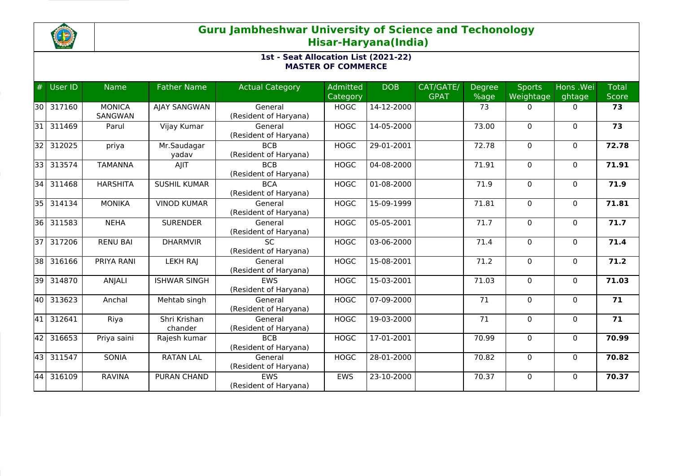

| #               | User ID   | <b>Name</b>              | <b>Father Name</b>      | <b>Actual Category</b>              | <b>Admitted</b><br>Category | <b>DOB</b>   | CAT/GATE/<br><b>GPAT</b> | <b>Degree</b><br>%age | <b>Sports</b><br>Weightage | Hons .Wei<br>ghtage | <b>Total</b><br>Score |
|-----------------|-----------|--------------------------|-------------------------|-------------------------------------|-----------------------------|--------------|--------------------------|-----------------------|----------------------------|---------------------|-----------------------|
|                 | 30 317160 | <b>MONICA</b><br>SANGWAN | AJAY SANGWAN            | General<br>(Resident of Haryana)    | <b>HOGC</b>                 | 14-12-2000   |                          | 73                    | 0                          | $\Omega$            | 73                    |
| 31              | 311469    | Parul                    | Vijay Kumar             | General<br>(Resident of Haryana)    | <b>HOGC</b>                 | 14-05-2000   |                          | 73.00                 | $\Omega$                   | $\mathbf{0}$        | 73                    |
| 32              | 312025    | priya                    | Mr.Saudagar<br>yadav    | <b>BCB</b><br>(Resident of Haryana) | <b>HOGC</b>                 | 29-01-2001   |                          | 72.78                 | $\Omega$                   | $\mathbf{0}$        | 72.78                 |
| 33              | 313574    | <b>TAMANNA</b>           | AJIT                    | <b>BCB</b><br>(Resident of Haryana) | <b>HOGC</b>                 | 04-08-2000   |                          | 71.91                 | 0                          | 0                   | 71.91                 |
| 34              | 311468    | <b>HARSHITA</b>          | <b>SUSHIL KUMAR</b>     | <b>BCA</b><br>(Resident of Haryana) | <b>HOGC</b>                 | 01-08-2000   |                          | 71.9                  | 0                          | $\mathbf 0$         | 71.9                  |
| 35              | 314134    | <b>MONIKA</b>            | <b>VINOD KUMAR</b>      | General<br>(Resident of Haryana)    | <b>HOGC</b>                 | 15-09-1999   |                          | 71.81                 | 0                          | 0                   | 71.81                 |
| 36              | 311583    | <b>NEHA</b>              | <b>SURENDER</b>         | General<br>(Resident of Haryana)    | <b>HOGC</b>                 | 05-05-2001   |                          | 71.7                  | 0                          | $\mathbf{0}$        | 71.7                  |
| 37 <sup>1</sup> | 317206    | <b>RENU BAI</b>          | <b>DHARMVIR</b>         | <b>SC</b><br>(Resident of Haryana)  | <b>HOGC</b>                 | 03-06-2000   |                          | 71.4                  | $\Omega$                   | $\Omega$            | 71.4                  |
| 38 I            | 316166    | PRIYA RANI               | <b>LEKH RAJ</b>         | General<br>(Resident of Haryana)    | <b>HOGC</b>                 | 15-08-2001   |                          | 71.2                  | 0                          | $\mathbf{0}$        | 71.2                  |
| 39              | 314870    | ANJALI                   | <b>ISHWAR SINGH</b>     | EWS<br>(Resident of Haryana)        | <b>HOGC</b>                 | 15-03-2001   |                          | 71.03                 | 0                          | 0                   | 71.03                 |
| 40              | 313623    | Anchal                   | Mehtab singh            | General<br>(Resident of Haryana)    | <b>HOGC</b>                 | 07-09-2000   |                          | 71                    | $\Omega$                   | $\Omega$            | 71                    |
| 41              | 312641    | Riya                     | Shri Krishan<br>chander | General<br>(Resident of Haryana)    | <b>HOGC</b>                 | 19-03-2000   |                          | 71                    | 0                          | $\mathbf{0}$        | 71                    |
| 42              | 316653    | Priya saini              | Rajesh kumar            | <b>BCB</b><br>(Resident of Haryana) | <b>HOGC</b>                 | $17-01-2001$ |                          | 70.99                 | 0                          | $\mathbf 0$         | 70.99                 |
| 43              | 311547    | SONIA                    | <b>RATAN LAL</b>        | General<br>(Resident of Haryana)    | <b>HOGC</b>                 | 28-01-2000   |                          | 70.82                 | $\Omega$                   | $\mathbf{0}$        | 70.82                 |
| 44              | 316109    | <b>RAVINA</b>            | <b>PURAN CHAND</b>      | <b>EWS</b><br>(Resident of Haryana) | <b>EWS</b>                  | 23-10-2000   |                          | 70.37                 | 0                          | $\mathbf{0}$        | 70.37                 |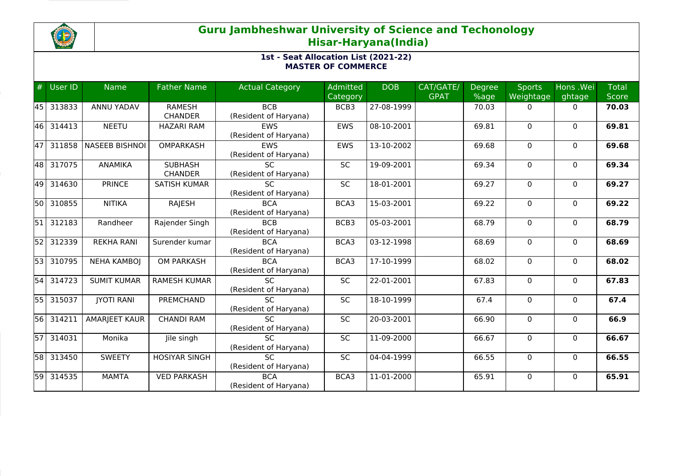

| #         | <b>User ID</b> | <b>Name</b>           | <b>Father Name</b>   | <b>Actual Category</b> | Admitted   | <b>DOB</b>   | CAT/GATE/   | <b>Degree</b> | <b>Sports</b> | Hons .Wei    | <b>Total</b> |
|-----------|----------------|-----------------------|----------------------|------------------------|------------|--------------|-------------|---------------|---------------|--------------|--------------|
|           |                |                       |                      |                        | Category   |              | <b>GPAT</b> | %age          | Weightage     | ghtage       | <b>Score</b> |
| <b>45</b> | 313833         | ANNU YADAV            | <b>RAMESH</b>        | <b>BCB</b>             | BCB3       | 27-08-1999   |             | 70.03         | 0             | 0            | 70.03        |
|           |                |                       | <b>CHANDER</b>       | (Resident of Haryana)  |            |              |             |               |               |              |              |
| 46        | 314413         | <b>NEETU</b>          | <b>HAZARI RAM</b>    | EWS                    | <b>EWS</b> | 08-10-2001   |             | 69.81         | $\mathbf 0$   | $\mathbf{0}$ | 69.81        |
|           |                |                       |                      | (Resident of Haryana)  |            |              |             |               |               |              |              |
| 47        | 311858         | <b>NASEEB BISHNOI</b> | <b>OMPARKASH</b>     | <b>EWS</b>             | EWS        | 13-10-2002   |             | 69.68         | $\mathbf{0}$  | $\mathbf{0}$ | 69.68        |
|           |                |                       |                      | (Resident of Haryana)  |            |              |             |               |               |              |              |
| 48        | 317075         | <b>ANAMIKA</b>        | <b>SUBHASH</b>       | <b>SC</b>              | SC         | 19-09-2001   |             | 69.34         | $\mathbf 0$   | $\mathbf{0}$ | 69.34        |
|           |                |                       | <b>CHANDER</b>       | (Resident of Haryana)  |            |              |             |               |               |              |              |
| 49        | 314630         | <b>PRINCE</b>         | <b>SATISH KUMAR</b>  | SC                     | SC         | 18-01-2001   |             | 69.27         | $\mathbf 0$   | $\mathbf 0$  | 69.27        |
|           |                |                       |                      | (Resident of Haryana)  |            |              |             |               |               |              |              |
| <b>50</b> | 310855         | <b>NITIKA</b>         | RAJESH               | <b>BCA</b>             | BCA3       | 15-03-2001   |             | 69.22         | $\mathbf 0$   | $\mathbf{0}$ | 69.22        |
|           |                |                       |                      | (Resident of Haryana)  |            |              |             |               |               |              |              |
| 51        | 312183         | Randheer              | Rajender Singh       | <b>BCB</b>             | BCB3       | 05-03-2001   |             | 68.79         | 0             | 0            | 68.79        |
|           |                |                       |                      | (Resident of Haryana)  |            |              |             |               |               |              |              |
| 52        | 312339         | <b>REKHA RANI</b>     | Surender kumar       | <b>BCA</b>             | BCA3       | 03-12-1998   |             | 68.69         | $\mathbf 0$   | $\mathbf{0}$ | 68.69        |
|           |                |                       |                      | (Resident of Haryana)  |            |              |             |               |               |              |              |
| 53        | 310795         | <b>NEHA KAMBOJ</b>    | <b>OM PARKASH</b>    | <b>BCA</b>             | BCA3       | $17-10-1999$ |             | 68.02         | 0             | $\mathbf{0}$ | 68.02        |
|           |                |                       |                      | (Resident of Haryana)  |            |              |             |               |               |              |              |
| 54        | 314723         | <b>SUMIT KUMAR</b>    | <b>RAMESH KUMAR</b>  | $\overline{SC}$        | SC         | 22-01-2001   |             | 67.83         | $\mathbf 0$   | 0            | 67.83        |
|           |                |                       |                      | (Resident of Haryana)  |            |              |             |               |               |              |              |
| 55        | 315037         | <b>IYOTI RANI</b>     | PREMCHAND            | <b>SC</b>              | <b>SC</b>  | 18-10-1999   |             | 67.4          | $\Omega$      | $\Omega$     | 67.4         |
|           |                |                       |                      | (Resident of Haryana)  |            |              |             |               |               |              |              |
| 56        | 314211         | <b>AMARJEET KAUR</b>  | <b>CHANDI RAM</b>    | <b>SC</b>              | <b>SC</b>  | 20-03-2001   |             | 66.90         | $\mathbf 0$   | $\mathbf{0}$ | 66.9         |
|           |                |                       |                      | (Resident of Haryana)  |            |              |             |               |               |              |              |
| 57        | 314031         | Monika                | Jile singh           | $\overline{SC}$        | <b>SC</b>  | 11-09-2000   |             | 66.67         | $\mathbf 0$   | 0            | 66.67        |
|           |                |                       |                      | (Resident of Haryana)  |            |              |             |               |               |              |              |
| 58        | 313450         | <b>SWEETY</b>         | <b>HOSIYAR SINGH</b> | <b>SC</b>              | SC         | 04-04-1999   |             | 66.55         | $\Omega$      | $\mathbf{0}$ | 66.55        |
|           |                |                       |                      | (Resident of Haryana)  |            |              |             |               |               |              |              |
| 59        | 314535         | <b>MAMTA</b>          | <b>VED PARKASH</b>   | <b>BCA</b>             | BCA3       | 11-01-2000   |             | 65.91         | $\mathbf 0$   | $\mathbf{0}$ | 65.91        |
|           |                |                       |                      | (Resident of Haryana)  |            |              |             |               |               |              |              |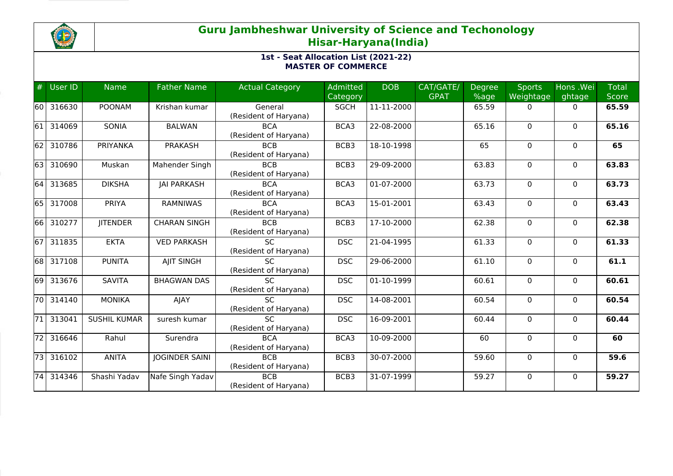

| #     | User ID   | <b>Name</b>         | <b>Father Name</b>    | <b>Actual Category</b>                   | Admitted<br>Category | <b>DOB</b> | CAT/GATE/<br><b>GPAT</b> | <b>Degree</b><br>%age | <b>Sports</b><br>Weightage | Hons .Wei<br>ghtage | <b>Total</b><br><b>Score</b> |
|-------|-----------|---------------------|-----------------------|------------------------------------------|----------------------|------------|--------------------------|-----------------------|----------------------------|---------------------|------------------------------|
|       | 60 316630 | <b>POONAM</b>       | Krishan kumar         | General<br>(Resident of Haryana)         | <b>SGCH</b>          | 11-11-2000 |                          | 65.59                 | 0                          | 0                   | 65.59                        |
| 61    | 314069    | SONIA               | <b>BALWAN</b>         | <b>BCA</b><br>(Resident of Haryana)      | BCA3                 | 22-08-2000 |                          | 65.16                 | $\mathbf 0$                | $\mathbf{0}$        | 65.16                        |
| 62    | 310786    | <b>PRIYANKA</b>     | <b>PRAKASH</b>        | <b>BCB</b><br>(Resident of Haryana)      | BCB3                 | 18-10-1998 |                          | 65                    | $\mathbf 0$                | $\Omega$            | 65                           |
| 63    | 310690    | Muskan              | Mahender Singh        | <b>BCB</b><br>(Resident of Haryana)      | BCB3                 | 29-09-2000 |                          | 63.83                 | 0                          | 0                   | 63.83                        |
| 64    | 313685    | <b>DIKSHA</b>       | <b>JAI PARKASH</b>    | <b>BCA</b><br>(Resident of Haryana)      | BCA3                 | 01-07-2000 |                          | 63.73                 | $\mathbf 0$                | $\mathbf{0}$        | 63.73                        |
| 65    | 317008    | PRIYA               | <b>RAMNIWAS</b>       | <b>BCA</b><br>(Resident of Haryana)      | BCA3                 | 15-01-2001 |                          | 63.43                 | $\Omega$                   | $\mathbf{0}$        | 63.43                        |
| 66    | 310277    | <b>JITENDER</b>     | <b>CHARAN SINGH</b>   | <b>BCB</b><br>(Resident of Haryana)      | BCB3                 | 17-10-2000 |                          | 62.38                 | $\mathbf{0}$               | $\mathbf{0}$        | 62.38                        |
| 67    | 311835    | <b>EKTA</b>         | <b>VED PARKASH</b>    | <b>SC</b><br>(Resident of Haryana)       | <b>DSC</b>           | 21-04-1995 |                          | 61.33                 | $\Omega$                   | $\Omega$            | 61.33                        |
| 68    | 317108    | <b>PUNITA</b>       | AJIT SINGH            | <b>SC</b><br>(Resident of Haryana)       | <b>DSC</b>           | 29-06-2000 |                          | 61.10                 | 0                          | $\mathbf{0}$        | 61.1                         |
| 169 I | 313676    | <b>SAVITA</b>       | <b>BHAGWAN DAS</b>    | $\overline{SC}$<br>(Resident of Haryana) | <b>DSC</b>           | 01-10-1999 |                          | 60.61                 | 0                          | $\mathbf{0}$        | 60.61                        |
| 70    | 314140    | <b>MONIKA</b>       | AJAY                  | <b>SC</b><br>(Resident of Haryana)       | <b>DSC</b>           | 14-08-2001 |                          | 60.54                 | $\mathbf{0}$               | $\mathbf{0}$        | 60.54                        |
| 71    | 313041    | <b>SUSHIL KUMAR</b> | suresh kumar          | <b>SC</b><br>(Resident of Haryana)       | <b>DSC</b>           | 16-09-2001 |                          | 60.44                 | 0                          | $\Omega$            | 60.44                        |
| 72    | 316646    | Rahul               | Surendra              | <b>BCA</b><br>(Resident of Haryana)      | BCA3                 | 10-09-2000 |                          | 60                    | $\mathbf 0$                | $\mathbf 0$         | 60                           |
| 73    | 316102    | <b>ANITA</b>        | <b>JOGINDER SAINI</b> | <b>BCB</b><br>(Resident of Haryana)      | BCB3                 | 30-07-2000 |                          | 59.60                 | 0                          | $\mathbf{0}$        | 59.6                         |
| 74    | 314346    | Shashi Yadav        | Nafe Singh Yadav      | <b>BCB</b><br>(Resident of Haryana)      | BCB3                 | 31-07-1999 |                          | 59.27                 | $\mathbf 0$                | $\mathbf{0}$        | 59.27                        |